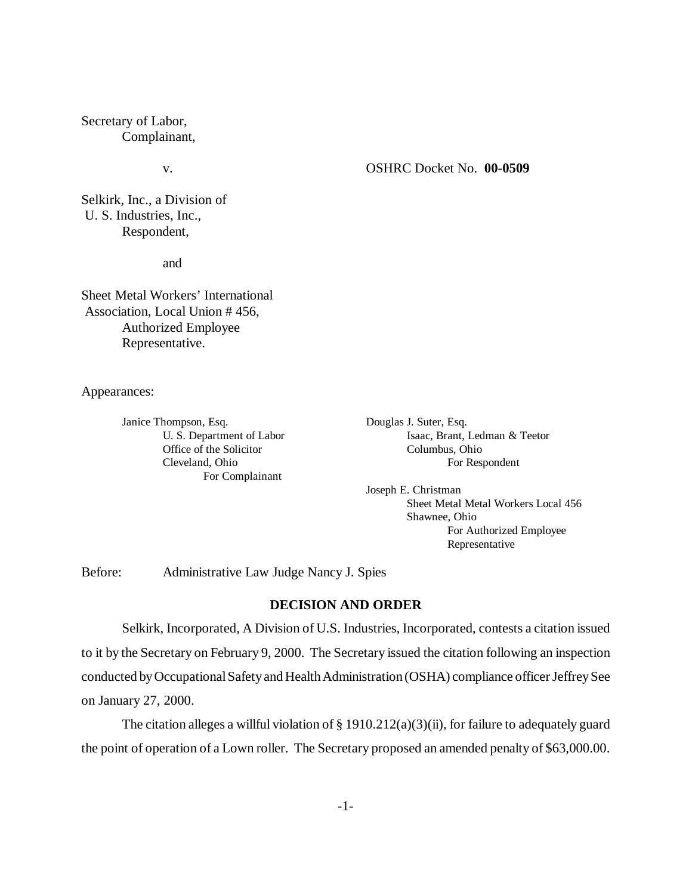Secretary of Labor, Complainant,

## v. OSHRC Docket No. **00-0509**

Selkirk, Inc., a Division of U. S. Industries, Inc., Respondent,

and

Sheet Metal Workers' International Association, Local Union # 456, Authorized Employee Representative.

Appearances:

Janice Thompson, Esq. Douglas J. Suter, Esq. Office of the Solicitor Columbus, Ohio For Complainant

U. S. Department of Labor Isaac, Brant, Ledman & Teetor Cleveland, Ohio For Respondent

> Joseph E. Christman Sheet Metal Metal Workers Local 456 Shawnee, Ohio For Authorized Employee Representative

Before: Administrative Law Judge Nancy J. Spies

# **DECISION AND ORDER**

Selkirk, Incorporated, A Division of U.S. Industries, Incorporated, contests a citation issued to it by the Secretary on February 9, 2000. The Secretary issued the citation following an inspection conducted by Occupational Safety and Health Administration (OSHA) compliance officer Jeffrey See on January 27, 2000.

The citation alleges a willful violation of  $\S 1910.212(a)(3)(ii)$ , for failure to adequately guard the point of operation of a Lown roller. The Secretary proposed an amended penalty of \$63,000.00.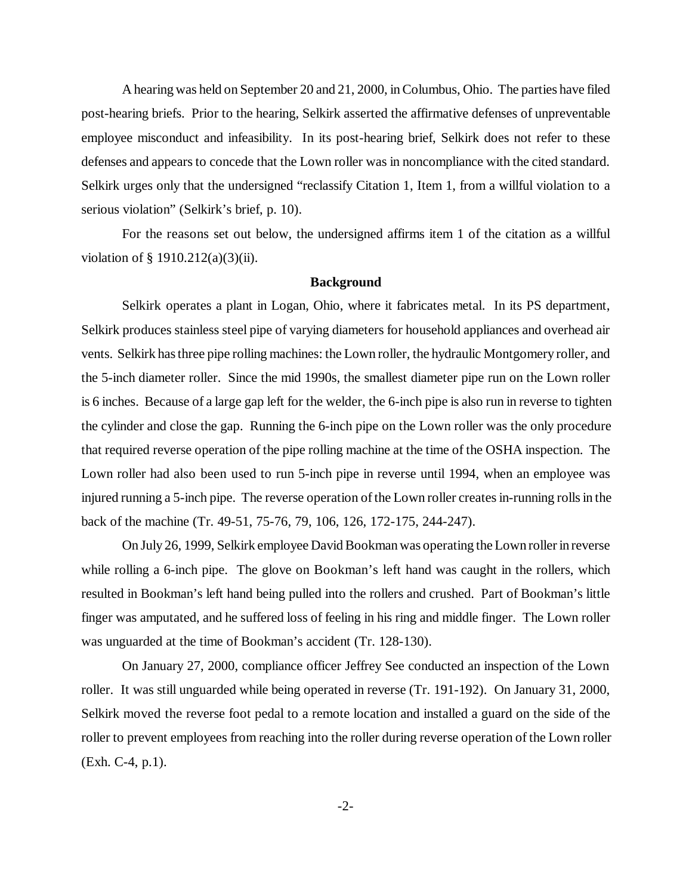A hearing was held on September 20 and 21, 2000, in Columbus, Ohio. The parties have filed post-hearing briefs. Prior to the hearing, Selkirk asserted the affirmative defenses of unpreventable employee misconduct and infeasibility. In its post-hearing brief, Selkirk does not refer to these defenses and appears to concede that the Lown roller was in noncompliance with the cited standard. Selkirk urges only that the undersigned "reclassify Citation 1, Item 1, from a willful violation to a serious violation" (Selkirk's brief, p. 10).

For the reasons set out below, the undersigned affirms item 1 of the citation as a willful violation of  $§$  1910.212(a)(3)(ii).

### **Background**

Selkirk operates a plant in Logan, Ohio, where it fabricates metal. In its PS department, Selkirk produces stainless steel pipe of varying diameters for household appliances and overhead air vents. Selkirk has three pipe rolling machines: the Lown roller, the hydraulic Montgomery roller, and the 5-inch diameter roller. Since the mid 1990s, the smallest diameter pipe run on the Lown roller is 6 inches. Because of a large gap left for the welder, the 6-inch pipe is also run in reverse to tighten the cylinder and close the gap. Running the 6-inch pipe on the Lown roller was the only procedure that required reverse operation of the pipe rolling machine at the time of the OSHA inspection. The Lown roller had also been used to run 5-inch pipe in reverse until 1994, when an employee was injured running a 5-inch pipe. The reverse operation of the Lown roller creates in-running rolls in the back of the machine (Tr. 49-51, 75-76, 79, 106, 126, 172-175, 244-247).

On July 26, 1999, Selkirk employee David Bookman was operating the Lown roller in reverse while rolling a 6-inch pipe. The glove on Bookman's left hand was caught in the rollers, which resulted in Bookman's left hand being pulled into the rollers and crushed. Part of Bookman's little finger was amputated, and he suffered loss of feeling in his ring and middle finger. The Lown roller was unguarded at the time of Bookman's accident (Tr. 128-130).

On January 27, 2000, compliance officer Jeffrey See conducted an inspection of the Lown roller. It was still unguarded while being operated in reverse (Tr. 191-192). On January 31, 2000, Selkirk moved the reverse foot pedal to a remote location and installed a guard on the side of the roller to prevent employees from reaching into the roller during reverse operation of the Lown roller (Exh. C-4, p.1).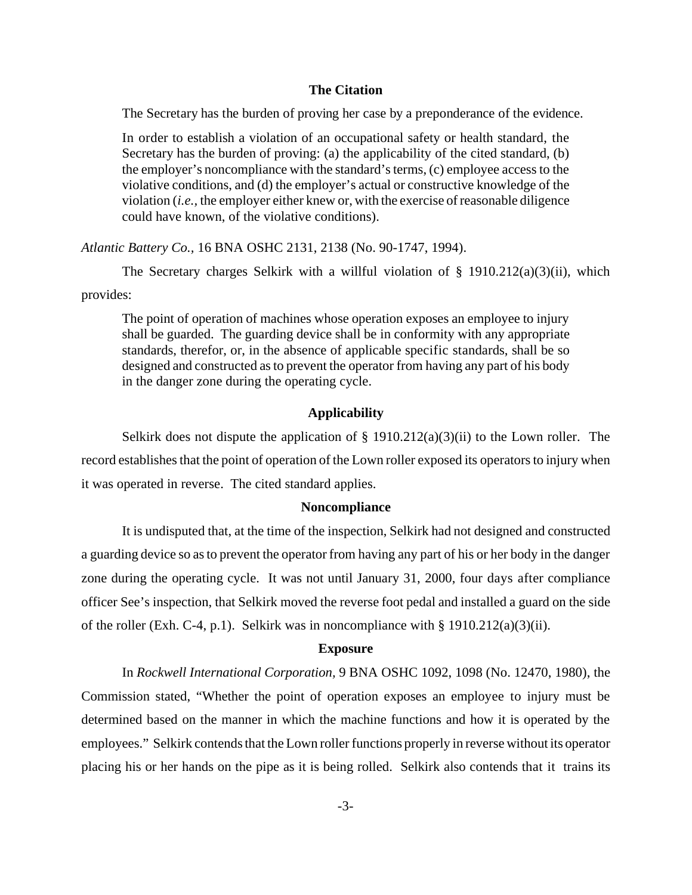## **The Citation**

The Secretary has the burden of proving her case by a preponderance of the evidence.

In order to establish a violation of an occupational safety or health standard, the Secretary has the burden of proving: (a) the applicability of the cited standard, (b) the employer's noncompliance with the standard's terms, (c) employee access to the violative conditions, and (d) the employer's actual or constructive knowledge of the violation (*i.e.,* the employer either knew or, with the exercise of reasonable diligence could have known, of the violative conditions).

*Atlantic Battery Co.,* 16 BNA OSHC 2131, 2138 (No. 90-1747, 1994).

The Secretary charges Selkirk with a willful violation of  $\S$  1910.212(a)(3)(ii), which provides:

The point of operation of machines whose operation exposes an employee to injury shall be guarded. The guarding device shall be in conformity with any appropriate standards, therefor, or, in the absence of applicable specific standards, shall be so designed and constructed as to prevent the operator from having any part of his body in the danger zone during the operating cycle.

# **Applicability**

Selkirk does not dispute the application of  $\S$  1910.212(a)(3)(ii) to the Lown roller. The record establishes that the point of operation of the Lown roller exposed its operators to injury when it was operated in reverse. The cited standard applies.

#### **Noncompliance**

It is undisputed that, at the time of the inspection, Selkirk had not designed and constructed a guarding device so as to prevent the operator from having any part of his or her body in the danger zone during the operating cycle. It was not until January 31, 2000, four days after compliance officer See's inspection, that Selkirk moved the reverse foot pedal and installed a guard on the side of the roller (Exh. C-4, p.1). Selkirk was in noncompliance with § 1910.212(a)(3)(ii).

#### **Exposure**

In *Rockwell International Corporation,* 9 BNA OSHC 1092, 1098 (No. 12470, 1980), the Commission stated, "Whether the point of operation exposes an employee to injury must be determined based on the manner in which the machine functions and how it is operated by the employees." Selkirk contends that the Lown roller functions properly in reverse without its operator placing his or her hands on the pipe as it is being rolled. Selkirk also contends that it trains its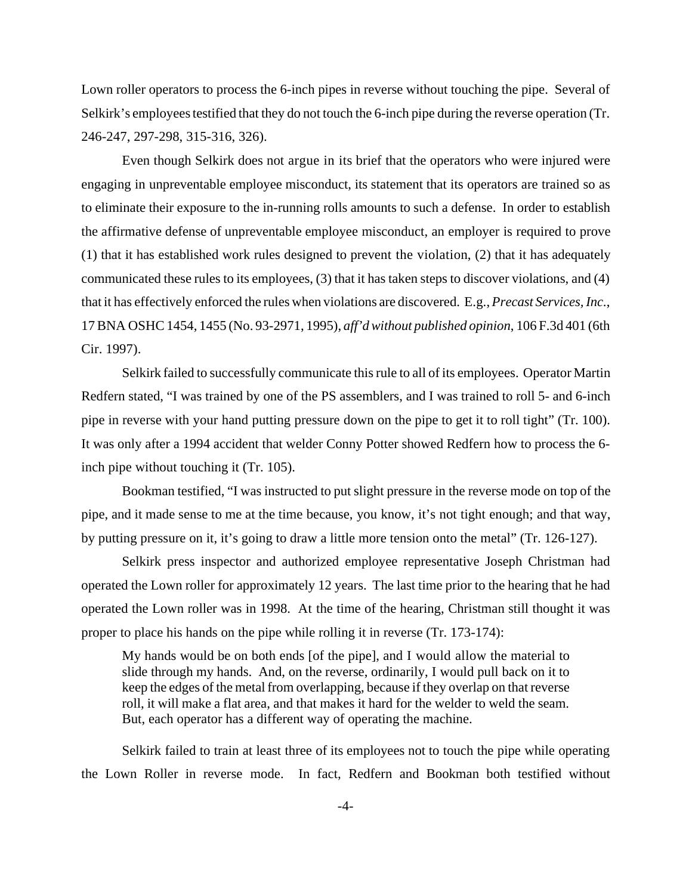Lown roller operators to process the 6-inch pipes in reverse without touching the pipe. Several of Selkirk's employees testified that they do not touch the 6-inch pipe during the reverse operation (Tr. 246-247, 297-298, 315-316, 326).

Even though Selkirk does not argue in its brief that the operators who were injured were engaging in unpreventable employee misconduct, its statement that its operators are trained so as to eliminate their exposure to the in-running rolls amounts to such a defense. In order to establish the affirmative defense of unpreventable employee misconduct, an employer is required to prove (1) that it has established work rules designed to prevent the violation, (2) that it has adequately communicated these rules to its employees, (3) that it has taken steps to discover violations, and (4) that it has effectively enforced the rules when violations are discovered. E.g., *Precast Services, Inc*., 17 BNA OSHC 1454, 1455 (No. 93-2971, 1995), *aff'd without published opinion*, 106 F.3d 401 (6th Cir. 1997).

Selkirk failed to successfully communicate this rule to all of its employees. Operator Martin Redfern stated, "I was trained by one of the PS assemblers, and I was trained to roll 5- and 6-inch pipe in reverse with your hand putting pressure down on the pipe to get it to roll tight" (Tr. 100). It was only after a 1994 accident that welder Conny Potter showed Redfern how to process the 6 inch pipe without touching it (Tr. 105).

Bookman testified, "I was instructed to put slight pressure in the reverse mode on top of the pipe, and it made sense to me at the time because, you know, it's not tight enough; and that way, by putting pressure on it, it's going to draw a little more tension onto the metal" (Tr. 126-127).

Selkirk press inspector and authorized employee representative Joseph Christman had operated the Lown roller for approximately 12 years. The last time prior to the hearing that he had operated the Lown roller was in 1998. At the time of the hearing, Christman still thought it was proper to place his hands on the pipe while rolling it in reverse (Tr. 173-174):

My hands would be on both ends [of the pipe], and I would allow the material to slide through my hands. And, on the reverse, ordinarily, I would pull back on it to keep the edges of the metal from overlapping, because if they overlap on that reverse roll, it will make a flat area, and that makes it hard for the welder to weld the seam. But, each operator has a different way of operating the machine.

Selkirk failed to train at least three of its employees not to touch the pipe while operating the Lown Roller in reverse mode. In fact, Redfern and Bookman both testified without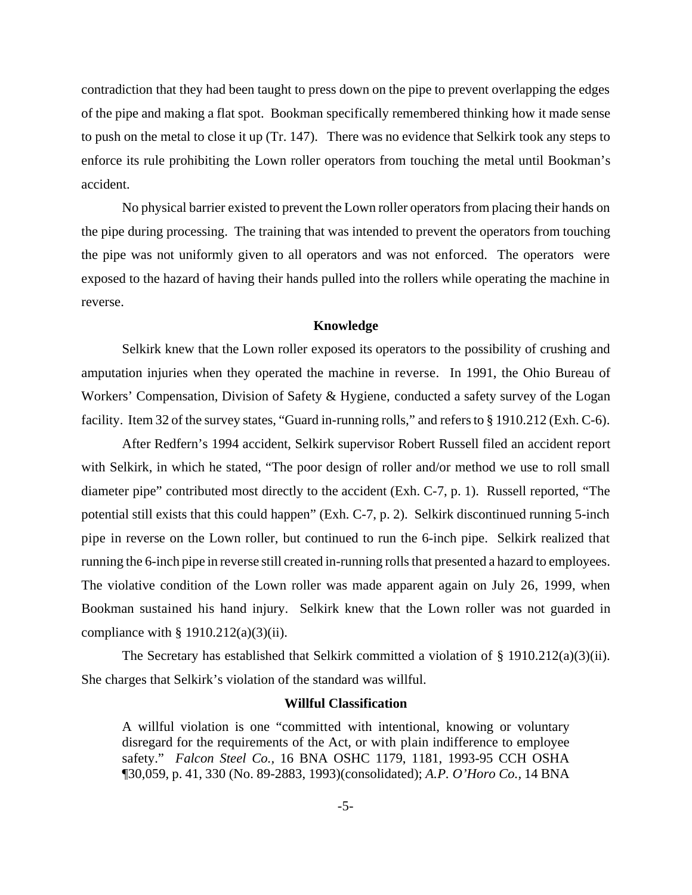contradiction that they had been taught to press down on the pipe to prevent overlapping the edges of the pipe and making a flat spot. Bookman specifically remembered thinking how it made sense to push on the metal to close it up (Tr. 147). There was no evidence that Selkirk took any steps to enforce its rule prohibiting the Lown roller operators from touching the metal until Bookman's accident.

No physical barrier existed to prevent the Lown roller operators from placing their hands on the pipe during processing. The training that was intended to prevent the operators from touching the pipe was not uniformly given to all operators and was not enforced. The operators were exposed to the hazard of having their hands pulled into the rollers while operating the machine in reverse.

## **Knowledge**

Selkirk knew that the Lown roller exposed its operators to the possibility of crushing and amputation injuries when they operated the machine in reverse. In 1991, the Ohio Bureau of Workers' Compensation, Division of Safety & Hygiene, conducted a safety survey of the Logan facility. Item 32 of the survey states, "Guard in-running rolls," and refers to § 1910.212 (Exh. C-6).

After Redfern's 1994 accident, Selkirk supervisor Robert Russell filed an accident report with Selkirk, in which he stated, "The poor design of roller and/or method we use to roll small diameter pipe" contributed most directly to the accident (Exh. C-7, p. 1). Russell reported, "The potential still exists that this could happen" (Exh. C-7, p. 2). Selkirk discontinued running 5-inch pipe in reverse on the Lown roller, but continued to run the 6-inch pipe. Selkirk realized that running the 6-inch pipe in reverse still created in-running rolls that presented a hazard to employees. The violative condition of the Lown roller was made apparent again on July 26, 1999, when Bookman sustained his hand injury. Selkirk knew that the Lown roller was not guarded in compliance with  $\S 1910.212(a)(3)(ii)$ .

The Secretary has established that Selkirk committed a violation of § 1910.212(a)(3)(ii). She charges that Selkirk's violation of the standard was willful.

#### **Willful Classification**

A willful violation is one "committed with intentional, knowing or voluntary disregard for the requirements of the Act, or with plain indifference to employee safety." *Falcon Steel Co.,* 16 BNA OSHC 1179, 1181, 1993-95 CCH OSHA ¶30,059, p. 41, 330 (No. 89-2883, 1993)(consolidated); *A.P. O'Horo Co.,* 14 BNA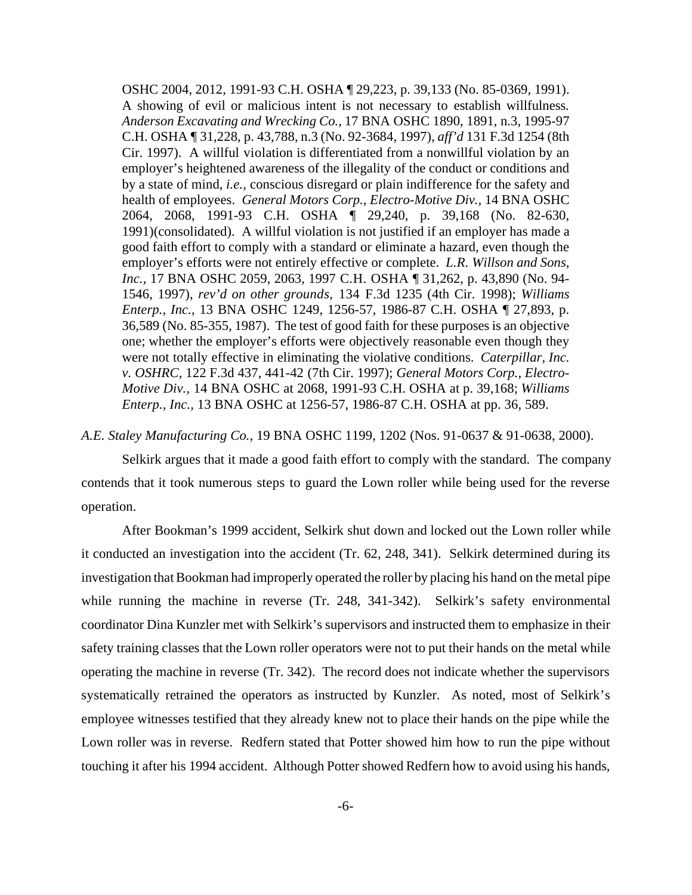OSHC 2004, 2012, 1991-93 C.H. OSHA ¶ 29,223, p. 39,133 (No. 85-0369, 1991). A showing of evil or malicious intent is not necessary to establish willfulness. *Anderson Excavating and Wrecking Co.,* 17 BNA OSHC 1890, 1891, n.3, 1995-97 C.H. OSHA ¶ 31,228, p. 43,788, n.3 (No. 92-3684, 1997), *aff'd* 131 F.3d 1254 (8th Cir. 1997). A willful violation is differentiated from a nonwillful violation by an employer's heightened awareness of the illegality of the conduct or conditions and by a state of mind, *i.e.,* conscious disregard or plain indifference for the safety and health of employees. *General Motors Corp., Electro-Motive Div.,* 14 BNA OSHC 2064, 2068, 1991-93 C.H. OSHA ¶ 29,240, p. 39,168 (No. 82-630, 1991)(consolidated). A willful violation is not justified if an employer has made a good faith effort to comply with a standard or eliminate a hazard, even though the employer's efforts were not entirely effective or complete. *L.R. Willson and Sons, Inc.,* 17 BNA OSHC 2059, 2063, 1997 C.H. OSHA ¶ 31,262, p. 43,890 (No. 94- 1546, 1997), *rev'd on other grounds,* 134 F.3d 1235 (4th Cir. 1998); *Williams Enterp., Inc.,* 13 BNA OSHC 1249, 1256-57, 1986-87 C.H. OSHA ¶ 27,893, p. 36,589 (No. 85-355, 1987). The test of good faith for these purposes is an objective one; whether the employer's efforts were objectively reasonable even though they were not totally effective in eliminating the violative conditions. *Caterpillar, Inc. v. OSHRC,* 122 F.3d 437, 441-42 (7th Cir. 1997); *General Motors Corp., Electro-Motive Div.,* 14 BNA OSHC at 2068, 1991-93 C.H. OSHA at p. 39,168; *Williams Enterp., Inc.,* 13 BNA OSHC at 1256-57, 1986-87 C.H. OSHA at pp. 36, 589.

### *A.E. Staley Manufacturing Co.,* 19 BNA OSHC 1199, 1202 (Nos. 91-0637 & 91-0638, 2000).

Selkirk argues that it made a good faith effort to comply with the standard. The company contends that it took numerous steps to guard the Lown roller while being used for the reverse operation.

After Bookman's 1999 accident, Selkirk shut down and locked out the Lown roller while it conducted an investigation into the accident (Tr. 62, 248, 341). Selkirk determined during its investigation that Bookman had improperly operated the roller by placing his hand on the metal pipe while running the machine in reverse (Tr. 248, 341-342). Selkirk's safety environmental coordinator Dina Kunzler met with Selkirk's supervisors and instructed them to emphasize in their safety training classes that the Lown roller operators were not to put their hands on the metal while operating the machine in reverse (Tr. 342). The record does not indicate whether the supervisors systematically retrained the operators as instructed by Kunzler. As noted, most of Selkirk's employee witnesses testified that they already knew not to place their hands on the pipe while the Lown roller was in reverse. Redfern stated that Potter showed him how to run the pipe without touching it after his 1994 accident. Although Potter showed Redfern how to avoid using his hands,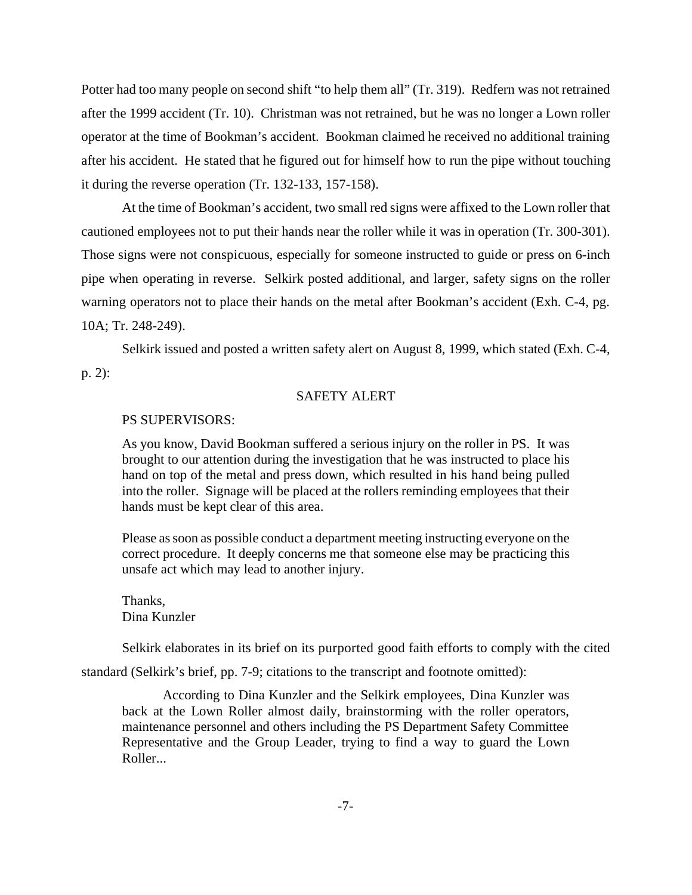Potter had too many people on second shift "to help them all" (Tr. 319). Redfern was not retrained after the 1999 accident (Tr. 10). Christman was not retrained, but he was no longer a Lown roller operator at the time of Bookman's accident. Bookman claimed he received no additional training after his accident. He stated that he figured out for himself how to run the pipe without touching it during the reverse operation (Tr. 132-133, 157-158).

At the time of Bookman's accident, two small red signs were affixed to the Lown roller that cautioned employees not to put their hands near the roller while it was in operation (Tr. 300-301). Those signs were not conspicuous, especially for someone instructed to guide or press on 6-inch pipe when operating in reverse. Selkirk posted additional, and larger, safety signs on the roller warning operators not to place their hands on the metal after Bookman's accident (Exh. C-4, pg. 10A; Tr. 248-249).

Selkirk issued and posted a written safety alert on August 8, 1999, which stated (Exh. C-4,

p. 2):

# SAFETY ALERT

#### PS SUPERVISORS:

As you know, David Bookman suffered a serious injury on the roller in PS. It was brought to our attention during the investigation that he was instructed to place his hand on top of the metal and press down, which resulted in his hand being pulled into the roller. Signage will be placed at the rollers reminding employees that their hands must be kept clear of this area.

Please as soon as possible conduct a department meeting instructing everyone on the correct procedure. It deeply concerns me that someone else may be practicing this unsafe act which may lead to another injury.

Thanks, Dina Kunzler

Selkirk elaborates in its brief on its purported good faith efforts to comply with the cited

standard (Selkirk's brief, pp. 7-9; citations to the transcript and footnote omitted):

According to Dina Kunzler and the Selkirk employees, Dina Kunzler was back at the Lown Roller almost daily, brainstorming with the roller operators, maintenance personnel and others including the PS Department Safety Committee Representative and the Group Leader, trying to find a way to guard the Lown Roller...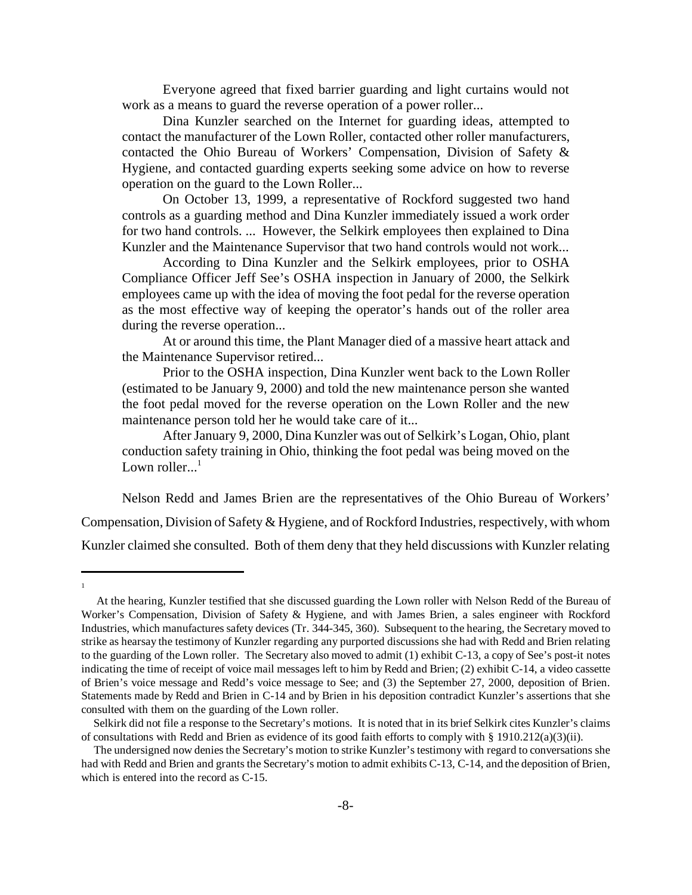Everyone agreed that fixed barrier guarding and light curtains would not work as a means to guard the reverse operation of a power roller...

Dina Kunzler searched on the Internet for guarding ideas, attempted to contact the manufacturer of the Lown Roller, contacted other roller manufacturers, contacted the Ohio Bureau of Workers' Compensation, Division of Safety & Hygiene, and contacted guarding experts seeking some advice on how to reverse operation on the guard to the Lown Roller...

On October 13, 1999, a representative of Rockford suggested two hand controls as a guarding method and Dina Kunzler immediately issued a work order for two hand controls. ... However, the Selkirk employees then explained to Dina Kunzler and the Maintenance Supervisor that two hand controls would not work...

According to Dina Kunzler and the Selkirk employees, prior to OSHA Compliance Officer Jeff See's OSHA inspection in January of 2000, the Selkirk employees came up with the idea of moving the foot pedal for the reverse operation as the most effective way of keeping the operator's hands out of the roller area during the reverse operation...

At or around this time, the Plant Manager died of a massive heart attack and the Maintenance Supervisor retired...

Prior to the OSHA inspection, Dina Kunzler went back to the Lown Roller (estimated to be January 9, 2000) and told the new maintenance person she wanted the foot pedal moved for the reverse operation on the Lown Roller and the new maintenance person told her he would take care of it...

After January 9, 2000, Dina Kunzler was out of Selkirk's Logan, Ohio, plant conduction safety training in Ohio, thinking the foot pedal was being moved on the Lown roller... $<sup>1</sup>$ </sup>

Nelson Redd and James Brien are the representatives of the Ohio Bureau of Workers' Compensation, Division of Safety & Hygiene, and of Rockford Industries, respectively, with whom Kunzler claimed she consulted. Both of them deny that they held discussions with Kunzler relating

1

At the hearing, Kunzler testified that she discussed guarding the Lown roller with Nelson Redd of the Bureau of Worker's Compensation, Division of Safety & Hygiene, and with James Brien, a sales engineer with Rockford Industries, which manufactures safety devices (Tr. 344-345, 360). Subsequent to the hearing, the Secretary moved to strike as hearsay the testimony of Kunzler regarding any purported discussions she had with Redd and Brien relating to the guarding of the Lown roller. The Secretary also moved to admit (1) exhibit C-13, a copy of See's post-it notes indicating the time of receipt of voice mail messages left to him by Redd and Brien; (2) exhibit C-14, a video cassette of Brien's voice message and Redd's voice message to See; and (3) the September 27, 2000, deposition of Brien. Statements made by Redd and Brien in C-14 and by Brien in his deposition contradict Kunzler's assertions that she consulted with them on the guarding of the Lown roller.

Selkirk did not file a response to the Secretary's motions. It is noted that in its brief Selkirk cites Kunzler's claims of consultations with Redd and Brien as evidence of its good faith efforts to comply with § 1910.212(a)(3)(ii).

The undersigned now denies the Secretary's motion to strike Kunzler's testimony with regard to conversations she had with Redd and Brien and grants the Secretary's motion to admit exhibits C-13, C-14, and the deposition of Brien, which is entered into the record as C-15.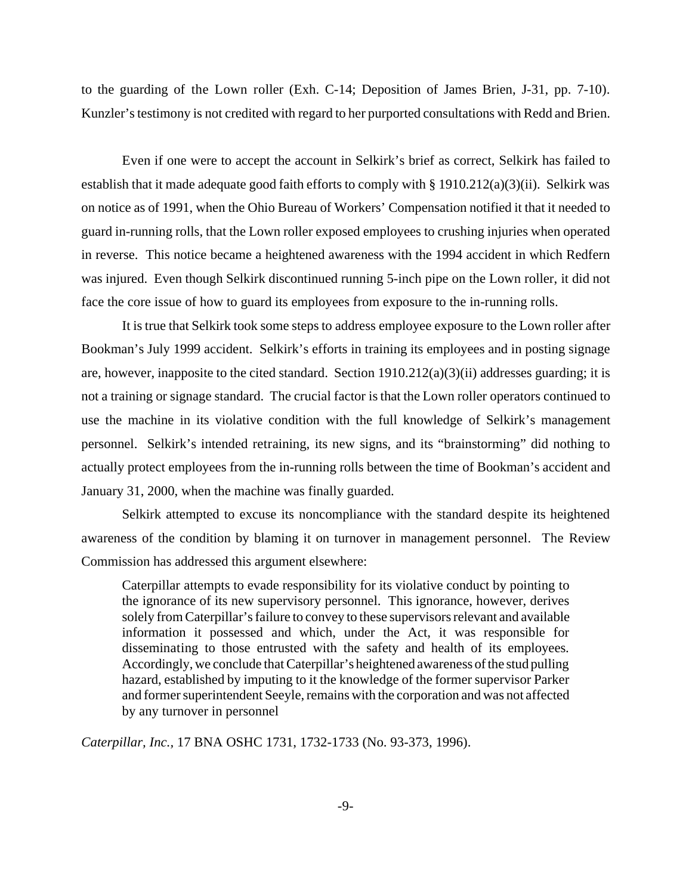to the guarding of the Lown roller (Exh. C-14; Deposition of James Brien, J-31, pp. 7-10). Kunzler's testimony is not credited with regard to her purported consultations with Redd and Brien.

Even if one were to accept the account in Selkirk's brief as correct, Selkirk has failed to establish that it made adequate good faith efforts to comply with  $\S 1910.212(a)(3)(ii)$ . Selkirk was on notice as of 1991, when the Ohio Bureau of Workers' Compensation notified it that it needed to guard in-running rolls, that the Lown roller exposed employees to crushing injuries when operated in reverse. This notice became a heightened awareness with the 1994 accident in which Redfern was injured. Even though Selkirk discontinued running 5-inch pipe on the Lown roller, it did not face the core issue of how to guard its employees from exposure to the in-running rolls.

It is true that Selkirk took some steps to address employee exposure to the Lown roller after Bookman's July 1999 accident. Selkirk's efforts in training its employees and in posting signage are, however, inapposite to the cited standard. Section 1910.212(a)(3)(ii) addresses guarding; it is not a training or signage standard. The crucial factor is that the Lown roller operators continued to use the machine in its violative condition with the full knowledge of Selkirk's management personnel. Selkirk's intended retraining, its new signs, and its "brainstorming" did nothing to actually protect employees from the in-running rolls between the time of Bookman's accident and January 31, 2000, when the machine was finally guarded.

Selkirk attempted to excuse its noncompliance with the standard despite its heightened awareness of the condition by blaming it on turnover in management personnel. The Review Commission has addressed this argument elsewhere:

Caterpillar attempts to evade responsibility for its violative conduct by pointing to the ignorance of its new supervisory personnel. This ignorance, however, derives solely from Caterpillar's failure to convey to these supervisors relevant and available information it possessed and which, under the Act, it was responsible for disseminating to those entrusted with the safety and health of its employees. Accordingly, we conclude that Caterpillar's heightened awareness of the stud pulling hazard, established by imputing to it the knowledge of the former supervisor Parker and former superintendent Seeyle, remains with the corporation and was not affected by any turnover in personnel

*Caterpillar, Inc.,* 17 BNA OSHC 1731, 1732-1733 (No. 93-373, 1996).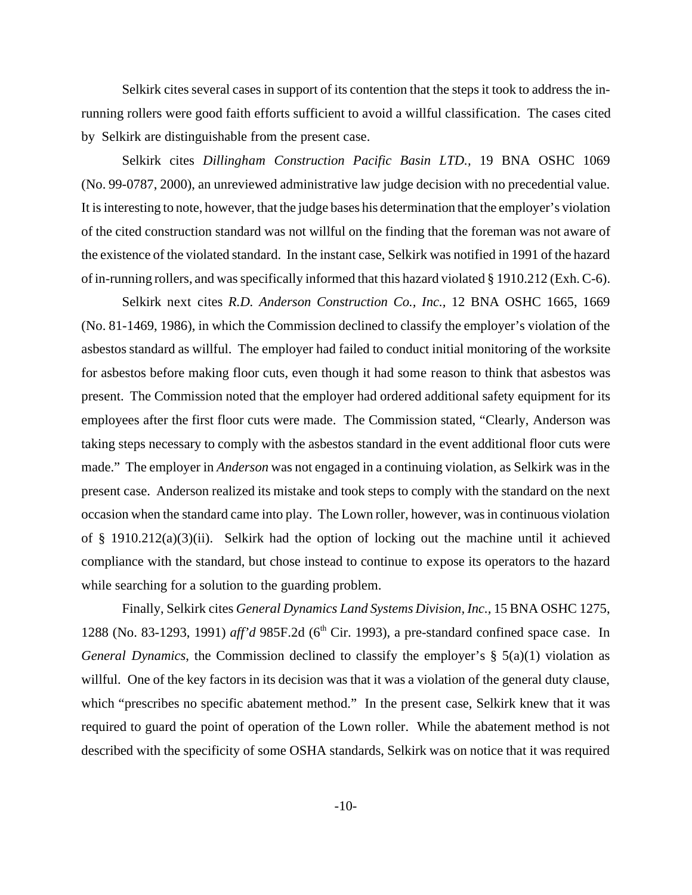Selkirk cites several cases in support of its contention that the steps it took to address the inrunning rollers were good faith efforts sufficient to avoid a willful classification. The cases cited by Selkirk are distinguishable from the present case.

Selkirk cites *Dillingham Construction Pacific Basin LTD.,* 19 BNA OSHC 1069 (No. 99-0787, 2000), an unreviewed administrative law judge decision with no precedential value. It is interesting to note, however, that the judge bases his determination that the employer's violation of the cited construction standard was not willful on the finding that the foreman was not aware of the existence of the violated standard. In the instant case, Selkirk was notified in 1991 of the hazard of in-running rollers, and was specifically informed that this hazard violated § 1910.212 (Exh. C-6).

Selkirk next cites *R.D. Anderson Construction Co., Inc.,* 12 BNA OSHC 1665, 1669 (No. 81-1469, 1986), in which the Commission declined to classify the employer's violation of the asbestos standard as willful. The employer had failed to conduct initial monitoring of the worksite for asbestos before making floor cuts, even though it had some reason to think that asbestos was present. The Commission noted that the employer had ordered additional safety equipment for its employees after the first floor cuts were made. The Commission stated, "Clearly, Anderson was taking steps necessary to comply with the asbestos standard in the event additional floor cuts were made." The employer in *Anderson* was not engaged in a continuing violation, as Selkirk was in the present case. Anderson realized its mistake and took steps to comply with the standard on the next occasion when the standard came into play. The Lown roller, however, was in continuous violation of § 1910.212(a)(3)(ii). Selkirk had the option of locking out the machine until it achieved compliance with the standard, but chose instead to continue to expose its operators to the hazard while searching for a solution to the guarding problem.

Finally, Selkirk cites *General Dynamics Land Systems Division, Inc.,* 15 BNA OSHC 1275, 1288 (No. 83-1293, 1991) *aff'd* 985F.2d (6<sup>th</sup> Cir. 1993), a pre-standard confined space case. In *General Dynamics*, the Commission declined to classify the employer's § 5(a)(1) violation as willful. One of the key factors in its decision was that it was a violation of the general duty clause, which "prescribes no specific abatement method." In the present case, Selkirk knew that it was required to guard the point of operation of the Lown roller. While the abatement method is not described with the specificity of some OSHA standards, Selkirk was on notice that it was required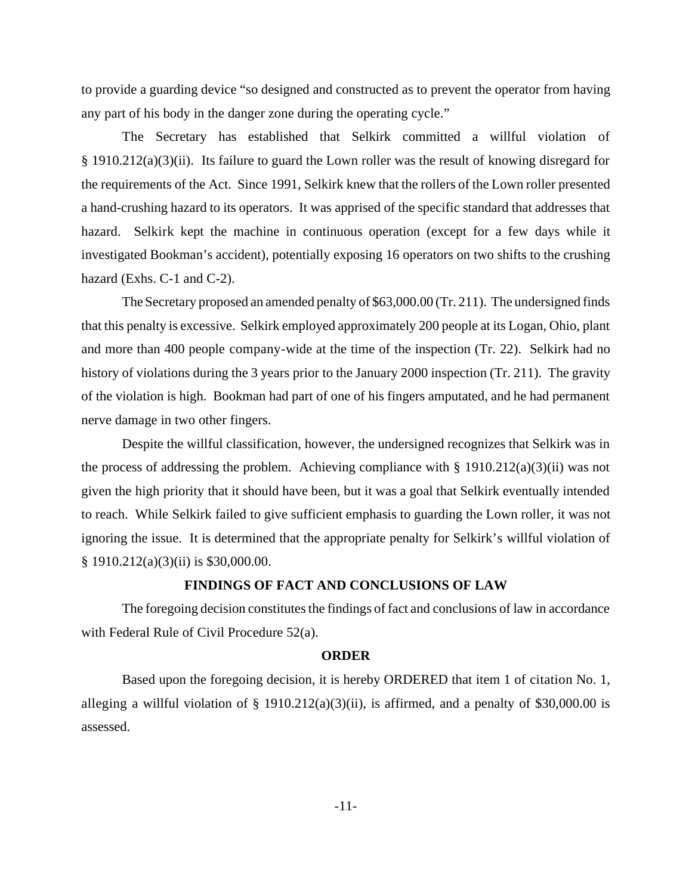to provide a guarding device "so designed and constructed as to prevent the operator from having any part of his body in the danger zone during the operating cycle."

The Secretary has established that Selkirk committed a willful violation of § 1910.212(a)(3)(ii). Its failure to guard the Lown roller was the result of knowing disregard for the requirements of the Act. Since 1991, Selkirk knew that the rollers of the Lown roller presented a hand-crushing hazard to its operators. It was apprised of the specific standard that addresses that hazard. Selkirk kept the machine in continuous operation (except for a few days while it investigated Bookman's accident), potentially exposing 16 operators on two shifts to the crushing hazard (Exhs. C-1 and C-2).

The Secretary proposed an amended penalty of \$63,000.00 (Tr. 211). The undersigned finds that this penalty is excessive. Selkirk employed approximately 200 people at its Logan, Ohio, plant and more than 400 people company-wide at the time of the inspection (Tr. 22). Selkirk had no history of violations during the 3 years prior to the January 2000 inspection (Tr. 211). The gravity of the violation is high. Bookman had part of one of his fingers amputated, and he had permanent nerve damage in two other fingers.

Despite the willful classification, however, the undersigned recognizes that Selkirk was in the process of addressing the problem. Achieving compliance with  $\S$  1910.212(a)(3)(ii) was not given the high priority that it should have been, but it was a goal that Selkirk eventually intended to reach. While Selkirk failed to give sufficient emphasis to guarding the Lown roller, it was not ignoring the issue. It is determined that the appropriate penalty for Selkirk's willful violation of § 1910.212(a)(3)(ii) is \$30,000.00.

#### **FINDINGS OF FACT AND CONCLUSIONS OF LAW**

The foregoing decision constitutes the findings of fact and conclusions of law in accordance with Federal Rule of Civil Procedure 52(a).

## **ORDER**

Based upon the foregoing decision, it is hereby ORDERED that item 1 of citation No. 1, alleging a willful violation of  $\S$  1910.212(a)(3)(ii), is affirmed, and a penalty of \$30,000.00 is assessed.